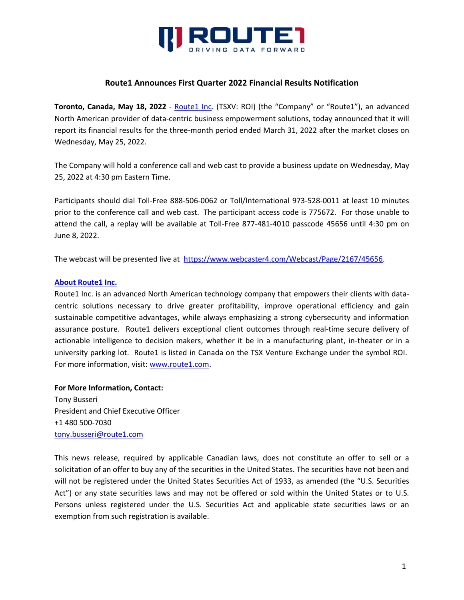

## **Route1 Announces First Quarter 2022 Financial Results Notification**

**Toronto, Canada, May 18, 2022** - [Route1 Inc.](http://www.route1.com/) (TSXV: ROI) (the "Company" or "Route1"), an advanced North American provider of data-centric business empowerment solutions, today announced that it will report its financial results for the three-month period ended March 31, 2022 after the market closes on Wednesday, May 25, 2022.

The Company will hold a conference call and web cast to provide a business update on Wednesday, May 25, 2022 at 4:30 pm Eastern Time.

Participants should dial Toll-Free 888-506-0062 or Toll/International 973-528-0011 at least 10 minutes prior to the conference call and web cast. The participant access code is 775672. For those unable to attend the call, a replay will be available at Toll-Free 877-481-4010 passcode 45656 until 4:30 pm on June 8, 2022.

The webcast will be presented live at [https://www.webcaster4.com/Webcast/Page/2167/45656.](https://www.webcaster4.com/Webcast/Page/2167/45656)

## **[About Route1 Inc.](http://www.route1.com/)**

Route1 Inc. is an advanced North American technology company that empowers their clients with datacentric solutions necessary to drive greater profitability, improve operational efficiency and gain sustainable competitive advantages, while always emphasizing a strong cybersecurity and information assurance posture. Route1 delivers exceptional client outcomes through real-time secure delivery of actionable intelligence to decision makers, whether it be in a manufacturing plant, in-theater or in a university parking lot. Route1 is listed in Canada on the TSX Venture Exchange under the symbol ROI. For more information, visit: [www.route1.com.](http://www.route1.com/)

## **For More Information, Contact:**

Tony Busseri President and Chief Executive Officer +1 480 500-7030 [tony.busseri@route1.com](mailto:tony.busseri@route1.com)

This news release, required by applicable Canadian laws, does not constitute an offer to sell or a solicitation of an offer to buy any of the securities in the United States. The securities have not been and will not be registered under the United States Securities Act of 1933, as amended (the "U.S. Securities Act") or any state securities laws and may not be offered or sold within the United States or to U.S. Persons unless registered under the U.S. Securities Act and applicable state securities laws or an exemption from such registration is available.